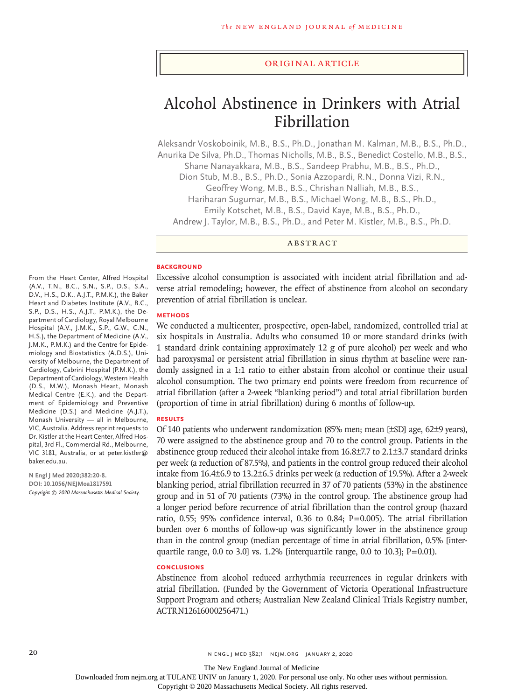#### Original Article

# Alcohol Abstinence in Drinkers with Atrial Fibrillation

Aleksandr Voskoboinik, M.B., B.S., Ph.D., Jonathan M. Kalman, M.B., B.S., Ph.D., Anurika De Silva, Ph.D., Thomas Nicholls, M.B., B.S., Benedict Costello, M.B., B.S., Shane Nanayakkara, M.B., B.S., Sandeep Prabhu, M.B., B.S., Ph.D., Dion Stub, M.B., B.S., Ph.D., Sonia Azzopardi, R.N., Donna Vizi, R.N., Geoffrey Wong, M.B., B.S., Chrishan Nalliah, M.B., B.S., Hariharan Sugumar, M.B., B.S., Michael Wong, M.B., B.S., Ph.D., Emily Kotschet, M.B., B.S., David Kaye, M.B., B.S., Ph.D., Andrew J. Taylor, M.B., B.S., Ph.D., and Peter M. Kistler, M.B., B.S., Ph.D.

ABSTRACT

#### **BACKGROUND**

Excessive alcohol consumption is associated with incident atrial fibrillation and adverse atrial remodeling; however, the effect of abstinence from alcohol on secondary prevention of atrial fibrillation is unclear.

# **METHODS**

We conducted a multicenter, prospective, open-label, randomized, controlled trial at six hospitals in Australia. Adults who consumed 10 or more standard drinks (with 1 standard drink containing approximately 12 g of pure alcohol) per week and who had paroxysmal or persistent atrial fibrillation in sinus rhythm at baseline were randomly assigned in a 1:1 ratio to either abstain from alcohol or continue their usual alcohol consumption. The two primary end points were freedom from recurrence of atrial fibrillation (after a 2-week "blanking period") and total atrial fibrillation burden (proportion of time in atrial fibrillation) during 6 months of follow-up.

#### **RESULTS**

Of 140 patients who underwent randomization (85% men; mean [±SD] age, 62±9 years), 70 were assigned to the abstinence group and 70 to the control group. Patients in the abstinence group reduced their alcohol intake from 16.8±7.7 to 2.1±3.7 standard drinks per week (a reduction of 87.5%), and patients in the control group reduced their alcohol intake from 16.4±6.9 to 13.2±6.5 drinks per week (a reduction of 19.5%). After a 2-week blanking period, atrial fibrillation recurred in 37 of 70 patients (53%) in the abstinence group and in 51 of 70 patients (73%) in the control group. The abstinence group had a longer period before recurrence of atrial fibrillation than the control group (hazard ratio, 0.55; 95% confidence interval, 0.36 to 0.84; P=0.005). The atrial fibrillation burden over 6 months of follow-up was significantly lower in the abstinence group than in the control group (median percentage of time in atrial fibrillation, 0.5% [interquartile range, 0.0 to 3.0] vs. 1.2% [interquartile range, 0.0 to 10.3];  $P=0.01$ ).

## **CONCLUSIONS**

Abstinence from alcohol reduced arrhythmia recurrences in regular drinkers with atrial fibrillation. (Funded by the Government of Victoria Operational Infrastructure Support Program and others; Australian New Zealand Clinical Trials Registry number, ACTRN12616000256471.)

From the Heart Center, Alfred Hospital (A.V., T.N., B.C., S.N., S.P., D.S., S.A., D.V., H.S., D.K., A.J.T., P.M.K.), the Baker Heart and Diabetes Institute (A.V., B.C., S.P., D.S., H.S., A.J.T., P.M.K.), the Department of Cardiology, Royal Melbourne Hospital (A.V., J.M.K., S.P., G.W., C.N., H.S.), the Department of Medicine (A.V., J.M.K., P.M.K.) and the Centre for Epidemiology and Biostatistics (A.D.S.), University of Melbourne, the Department of Cardiology, Cabrini Hospital (P.M.K.), the Department of Cardiology, Western Health (D.S., M.W.), Monash Heart, Monash Medical Centre (E.K.), and the Department of Epidemiology and Preventive Medicine (D.S.) and Medicine (A.J.T.), Monash University — all in Melbourne, VIC, Australia. Address reprint requests to Dr. Kistler at the Heart Center, Alfred Hospital, 3rd Fl., Commercial Rd., Melbourne, VIC 3181, Australia, or at peter.kistler@ baker.edu.au.

**N Engl J Med 2020;382:20-8. DOI: 10.1056/NEJMoa1817591** *Copyright © 2020 Massachusetts Medical Society.*

The New England Journal of Medicine

Downloaded from nejm.org at TULANE UNIV on January 1, 2020. For personal use only. No other uses without permission.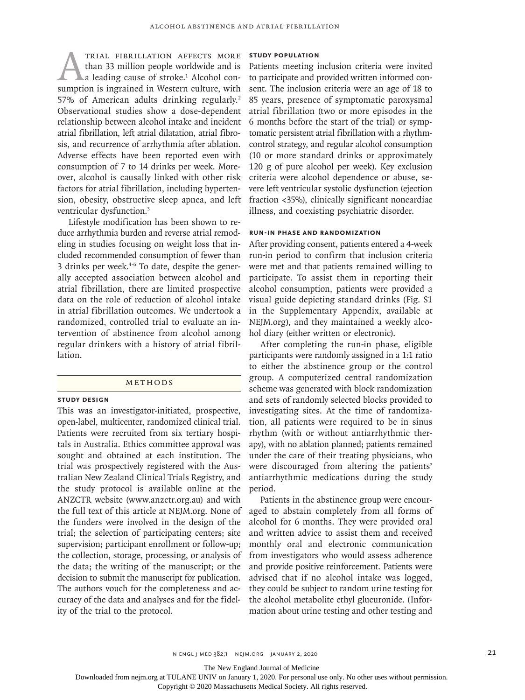TRIAL FIBRILLATION AFFECTS MORE<br>than 33 million people worldwide and is<br>a leading cause of stroke.<sup>1</sup> Alcohol con-<br>sumption is ingrained in Western culture, with than 33 million people worldwide and is a leading cause of stroke.<sup>1</sup> Alcohol consumption is ingrained in Western culture, with 57% of American adults drinking regularly.<sup>2</sup> Observational studies show a dose-dependent relationship between alcohol intake and incident atrial fibrillation, left atrial dilatation, atrial fibrosis, and recurrence of arrhythmia after ablation. Adverse effects have been reported even with consumption of 7 to 14 drinks per week. Moreover, alcohol is causally linked with other risk factors for atrial fibrillation, including hypertension, obesity, obstructive sleep apnea, and left ventricular dysfunction.3

Lifestyle modification has been shown to reduce arrhythmia burden and reverse atrial remodeling in studies focusing on weight loss that included recommended consumption of fewer than 3 drinks per week.<sup>4-6</sup> To date, despite the generally accepted association between alcohol and atrial fibrillation, there are limited prospective data on the role of reduction of alcohol intake in atrial fibrillation outcomes. We undertook a randomized, controlled trial to evaluate an intervention of abstinence from alcohol among regular drinkers with a history of atrial fibrillation.

# Methods

# **Study Design**

This was an investigator-initiated, prospective, open-label, multicenter, randomized clinical trial. Patients were recruited from six tertiary hospitals in Australia. Ethics committee approval was sought and obtained at each institution. The trial was prospectively registered with the Australian New Zealand Clinical Trials Registry, and the study protocol is available online at the ANZCTR website (www.anzctr.org.au) and with the full text of this article at NEJM.org. None of the funders were involved in the design of the trial; the selection of participating centers; site supervision; participant enrollment or follow-up; the collection, storage, processing, or analysis of the data; the writing of the manuscript; or the decision to submit the manuscript for publication. The authors vouch for the completeness and accuracy of the data and analyses and for the fidelity of the trial to the protocol.

# **Study Population**

Patients meeting inclusion criteria were invited to participate and provided written informed consent. The inclusion criteria were an age of 18 to 85 years, presence of symptomatic paroxysmal atrial fibrillation (two or more episodes in the 6 months before the start of the trial) or symptomatic persistent atrial fibrillation with a rhythmcontrol strategy, and regular alcohol consumption (10 or more standard drinks or approximately 120 g of pure alcohol per week). Key exclusion criteria were alcohol dependence or abuse, severe left ventricular systolic dysfunction (ejection fraction <35%), clinically significant noncardiac illness, and coexisting psychiatric disorder.

## **Run-in Phase and Randomization**

After providing consent, patients entered a 4-week run-in period to confirm that inclusion criteria were met and that patients remained willing to participate. To assist them in reporting their alcohol consumption, patients were provided a visual guide depicting standard drinks (Fig. S1 in the Supplementary Appendix, available at NEJM.org), and they maintained a weekly alcohol diary (either written or electronic).

After completing the run-in phase, eligible participants were randomly assigned in a 1:1 ratio to either the abstinence group or the control group. A computerized central randomization scheme was generated with block randomization and sets of randomly selected blocks provided to investigating sites. At the time of randomization, all patients were required to be in sinus rhythm (with or without antiarrhythmic therapy), with no ablation planned; patients remained under the care of their treating physicians, who were discouraged from altering the patients' antiarrhythmic medications during the study period.

Patients in the abstinence group were encouraged to abstain completely from all forms of alcohol for 6 months. They were provided oral and written advice to assist them and received monthly oral and electronic communication from investigators who would assess adherence and provide positive reinforcement. Patients were advised that if no alcohol intake was logged, they could be subject to random urine testing for the alcohol metabolite ethyl glucuronide. (Information about urine testing and other testing and

n engl j med 382;1 nejm.org January 2, 2020 21

The New England Journal of Medicine

Downloaded from nejm.org at TULANE UNIV on January 1, 2020. For personal use only. No other uses without permission.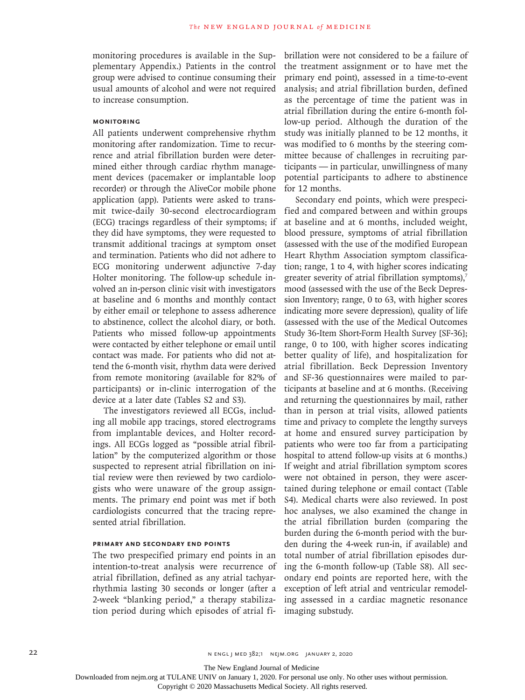monitoring procedures is available in the Supplementary Appendix.) Patients in the control group were advised to continue consuming their usual amounts of alcohol and were not required to increase consumption.

# **Monitoring**

All patients underwent comprehensive rhythm monitoring after randomization. Time to recurrence and atrial fibrillation burden were determined either through cardiac rhythm management devices (pacemaker or implantable loop recorder) or through the AliveCor mobile phone application (app). Patients were asked to transmit twice-daily 30-second electrocardiogram (ECG) tracings regardless of their symptoms; if they did have symptoms, they were requested to transmit additional tracings at symptom onset and termination. Patients who did not adhere to ECG monitoring underwent adjunctive 7-day Holter monitoring. The follow-up schedule involved an in-person clinic visit with investigators at baseline and 6 months and monthly contact by either email or telephone to assess adherence to abstinence, collect the alcohol diary, or both. Patients who missed follow-up appointments were contacted by either telephone or email until contact was made. For patients who did not attend the 6-month visit, rhythm data were derived from remote monitoring (available for 82% of participants) or in-clinic interrogation of the device at a later date (Tables S2 and S3).

The investigators reviewed all ECGs, including all mobile app tracings, stored electrograms from implantable devices, and Holter recordings. All ECGs logged as "possible atrial fibrillation" by the computerized algorithm or those suspected to represent atrial fibrillation on initial review were then reviewed by two cardiologists who were unaware of the group assignments. The primary end point was met if both cardiologists concurred that the tracing represented atrial fibrillation.

# **Primary and Secondary End Points**

The two prespecified primary end points in an intention-to-treat analysis were recurrence of atrial fibrillation, defined as any atrial tachyarrhythmia lasting 30 seconds or longer (after a 2-week "blanking period," a therapy stabilization period during which episodes of atrial fibrillation were not considered to be a failure of the treatment assignment or to have met the primary end point), assessed in a time-to-event analysis; and atrial fibrillation burden, defined as the percentage of time the patient was in atrial fibrillation during the entire 6-month follow-up period. Although the duration of the study was initially planned to be 12 months, it was modified to 6 months by the steering committee because of challenges in recruiting participants — in particular, unwillingness of many potential participants to adhere to abstinence for 12 months.

Secondary end points, which were prespecified and compared between and within groups at baseline and at 6 months, included weight, blood pressure, symptoms of atrial fibrillation (assessed with the use of the modified European Heart Rhythm Association symptom classification; range, 1 to 4, with higher scores indicating greater severity of atrial fibrillation symptoms),<sup>7</sup> mood (assessed with the use of the Beck Depression Inventory; range, 0 to 63, with higher scores indicating more severe depression), quality of life (assessed with the use of the Medical Outcomes Study 36-Item Short-Form Health Survey [SF-36]; range, 0 to 100, with higher scores indicating better quality of life), and hospitalization for atrial fibrillation. Beck Depression Inventory and SF-36 questionnaires were mailed to participants at baseline and at 6 months. (Receiving and returning the questionnaires by mail, rather than in person at trial visits, allowed patients time and privacy to complete the lengthy surveys at home and ensured survey participation by patients who were too far from a participating hospital to attend follow-up visits at 6 months.) If weight and atrial fibrillation symptom scores were not obtained in person, they were ascertained during telephone or email contact (Table S4). Medical charts were also reviewed. In post hoc analyses, we also examined the change in the atrial fibrillation burden (comparing the burden during the 6-month period with the burden during the 4-week run-in, if available) and total number of atrial fibrillation episodes during the 6-month follow-up (Table S8). All secondary end points are reported here, with the exception of left atrial and ventricular remodeling assessed in a cardiac magnetic resonance imaging substudy.

22 N ENGL | MED 382;1 NEIM.ORG JANUARY 2, 2020

The New England Journal of Medicine

Downloaded from nejm.org at TULANE UNIV on January 1, 2020. For personal use only. No other uses without permission.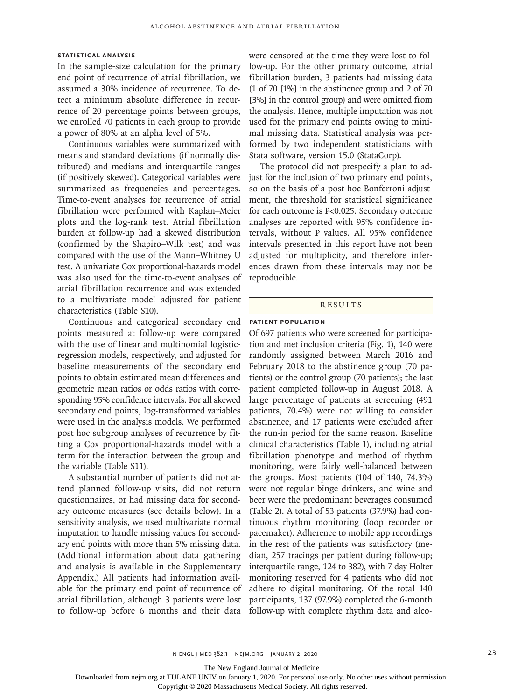# **Statistical Analysis**

In the sample-size calculation for the primary end point of recurrence of atrial fibrillation, we assumed a 30% incidence of recurrence. To detect a minimum absolute difference in recurrence of 20 percentage points between groups, we enrolled 70 patients in each group to provide a power of 80% at an alpha level of 5%.

Continuous variables were summarized with means and standard deviations (if normally distributed) and medians and interquartile ranges (if positively skewed). Categorical variables were summarized as frequencies and percentages. Time-to-event analyses for recurrence of atrial fibrillation were performed with Kaplan–Meier plots and the log-rank test. Atrial fibrillation burden at follow-up had a skewed distribution (confirmed by the Shapiro–Wilk test) and was compared with the use of the Mann–Whitney U test. A univariate Cox proportional-hazards model was also used for the time-to-event analyses of atrial fibrillation recurrence and was extended to a multivariate model adjusted for patient characteristics (Table S10).

Continuous and categorical secondary end points measured at follow-up were compared with the use of linear and multinomial logisticregression models, respectively, and adjusted for baseline measurements of the secondary end points to obtain estimated mean differences and geometric mean ratios or odds ratios with corresponding 95% confidence intervals. For all skewed secondary end points, log-transformed variables were used in the analysis models. We performed post hoc subgroup analyses of recurrence by fitting a Cox proportional-hazards model with a term for the interaction between the group and the variable (Table S11).

A substantial number of patients did not attend planned follow-up visits, did not return questionnaires, or had missing data for secondary outcome measures (see details below). In a sensitivity analysis, we used multivariate normal imputation to handle missing values for secondary end points with more than 5% missing data. (Additional information about data gathering and analysis is available in the Supplementary Appendix.) All patients had information available for the primary end point of recurrence of atrial fibrillation, although 3 patients were lost to follow-up before 6 months and their data

were censored at the time they were lost to follow-up. For the other primary outcome, atrial fibrillation burden, 3 patients had missing data (1 of 70 [1%] in the abstinence group and 2 of 70 [3%] in the control group) and were omitted from the analysis. Hence, multiple imputation was not used for the primary end points owing to minimal missing data. Statistical analysis was performed by two independent statisticians with Stata software, version 15.0 (StataCorp).

The protocol did not prespecify a plan to adjust for the inclusion of two primary end points, so on the basis of a post hoc Bonferroni adjustment, the threshold for statistical significance for each outcome is P<0.025. Secondary outcome analyses are reported with 95% confidence intervals, without P values. All 95% confidence intervals presented in this report have not been adjusted for multiplicity, and therefore inferences drawn from these intervals may not be reproducible.

#### Results

# **Patient Population**

Of 697 patients who were screened for participation and met inclusion criteria (Fig. 1), 140 were randomly assigned between March 2016 and February 2018 to the abstinence group (70 patients) or the control group (70 patients); the last patient completed follow-up in August 2018. A large percentage of patients at screening (491 patients, 70.4%) were not willing to consider abstinence, and 17 patients were excluded after the run-in period for the same reason. Baseline clinical characteristics (Table 1), including atrial fibrillation phenotype and method of rhythm monitoring, were fairly well-balanced between the groups. Most patients (104 of 140, 74.3%) were not regular binge drinkers, and wine and beer were the predominant beverages consumed (Table 2). A total of 53 patients (37.9%) had continuous rhythm monitoring (loop recorder or pacemaker). Adherence to mobile app recordings in the rest of the patients was satisfactory (median, 257 tracings per patient during follow-up; interquartile range, 124 to 382), with 7-day Holter monitoring reserved for 4 patients who did not adhere to digital monitoring. Of the total 140 participants, 137 (97.9%) completed the 6-month follow-up with complete rhythm data and alco-

The New England Journal of Medicine

Downloaded from nejm.org at TULANE UNIV on January 1, 2020. For personal use only. No other uses without permission.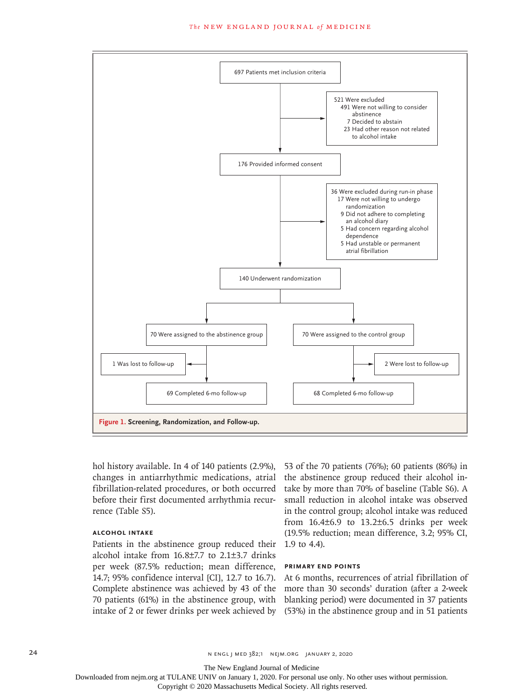#### **The NEW ENGLAND JOURNAL of MEDICINE**



hol history available. In 4 of 140 patients (2.9%), changes in antiarrhythmic medications, atrial fibrillation-related procedures, or both occurred before their first documented arrhythmia recurrence (Table S5).

# **Alcohol Intake**

Patients in the abstinence group reduced their 1.9 to 4.4). alcohol intake from 16.8±7.7 to 2.1±3.7 drinks per week (87.5% reduction; mean difference, 14.7; 95% confidence interval [CI], 12.7 to 16.7). Complete abstinence was achieved by 43 of the 70 patients (61%) in the abstinence group, with

53 of the 70 patients (76%); 60 patients (86%) in the abstinence group reduced their alcohol intake by more than 70% of baseline (Table S6). A small reduction in alcohol intake was observed in the control group; alcohol intake was reduced from 16.4±6.9 to 13.2±6.5 drinks per week (19.5% reduction; mean difference, 3.2; 95% CI,

## **Primary End Points**

intake of 2 or fewer drinks per week achieved by (53%) in the abstinence group and in 51 patients At 6 months, recurrences of atrial fibrillation of more than 30 seconds' duration (after a 2-week blanking period) were documented in 37 patients

24 n engl j med 382;1 nejm.org January 2, 2020

The New England Journal of Medicine

Downloaded from nejm.org at TULANE UNIV on January 1, 2020. For personal use only. No other uses without permission.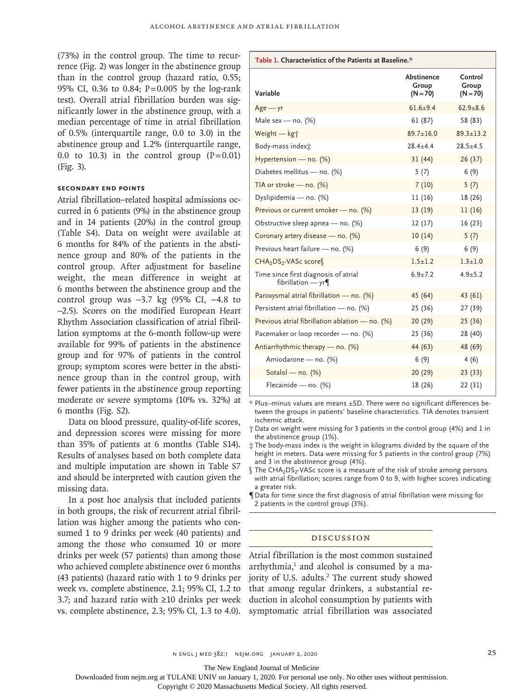(73%) in the control group. The time to recurrence (Fig. 2) was longer in the abstinence group than in the control group (hazard ratio, 0.55; 95% CI, 0.36 to 0.84; P=0.005 by the log-rank test). Overall atrial fibrillation burden was significantly lower in the abstinence group, with a median percentage of time in atrial fibrillation of 0.5% (interquartile range, 0.0 to 3.0) in the abstinence group and 1.2% (interquartile range, 0.0 to 10.3) in the control group  $(P=0.01)$ (Fig. 3).

# **Secondary End Points**

Atrial fibrillation–related hospital admissions occurred in 6 patients (9%) in the abstinence group and in 14 patients (20%) in the control group (Table S4). Data on weight were available at 6 months for 84% of the patients in the abstinence group and 80% of the patients in the control group. After adjustment for baseline weight, the mean difference in weight at 6 months between the abstinence group and the control group was −3.7 kg (95% CI, −4.8 to −2.5). Scores on the modified European Heart Rhythm Association classification of atrial fibrillation symptoms at the 6-month follow-up were available for 99% of patients in the abstinence group and for 97% of patients in the control group; symptom scores were better in the abstinence group than in the control group, with fewer patients in the abstinence group reporting moderate or severe symptoms (10% vs. 32%) at 6 months (Fig. S2).

Data on blood pressure, quality-of-life scores, and depression scores were missing for more than 35% of patients at 6 months (Table S14). Results of analyses based on both complete data and multiple imputation are shown in Table S7 and should be interpreted with caution given the missing data.

In a post hoc analysis that included patients in both groups, the risk of recurrent atrial fibrillation was higher among the patients who consumed 1 to 9 drinks per week (40 patients) and among the those who consumed 10 or more drinks per week (57 patients) than among those who achieved complete abstinence over 6 months (43 patients) (hazard ratio with 1 to 9 drinks per week vs. complete abstinence, 2.1; 95% CI, 1.2 to 3.7; and hazard ratio with ≥10 drinks per week vs. complete abstinence, 2.3; 95% CI, 1.3 to 4.0).

| Table 1. Characteristics of the Patients at Baseline.*      |                                   |                                |  |
|-------------------------------------------------------------|-----------------------------------|--------------------------------|--|
| Variable                                                    | Abstinence<br>Group<br>$(N = 70)$ | Control<br>Group<br>$(N = 70)$ |  |
| $Age - yr$                                                  | $61.6 + 9.4$                      | $62.9 + 8.6$                   |  |
| Male sex — no. $(\%)$                                       | 61 (87)                           | 58 (83)                        |  |
| Weight - kg+                                                | $89.7 \pm 16.0$                   | $89.3 \pm 13.2$                |  |
| Body-mass indext                                            | $28.4 \pm 4.4$                    | $28.5 + 4.5$                   |  |
| Hypertension - no. (%)                                      | 31(44)                            | 26(37)                         |  |
| Diabetes mellitus - no. (%)                                 | 5(7)                              | 6(9)                           |  |
| TIA or stroke - no. $(%)$                                   | 7(10)                             | 5(7)                           |  |
| Dyslipidemia - no. (%)                                      | 11(16)                            | 18 (26)                        |  |
| Previous or current smoker - no. (%)                        | 13 (19)                           | 11(16)                         |  |
| Obstructive sleep apnea - no. (%)                           | 12(17)                            | 16(23)                         |  |
| Coronary artery disease - no. (%)                           | 10(14)                            | 5(7)                           |  |
| Previous heart failure - no. (%)                            | 6(9)                              | 6(9)                           |  |
| CHA <sub>2</sub> DS <sub>2</sub> -VASc score                | $1.5 + 1.2$                       | $1.3 + 1.0$                    |  |
| Time since first diagnosis of atrial<br>fibrillation $-$ yr | $6.9 + 7.2$                       | $4.9 + 5.2$                    |  |
| Paroxysmal atrial fibrillation - no. (%)                    | 45 (64)                           | 43 (61)                        |  |
| Persistent atrial fibrillation - no. (%)                    | 25 (36)                           | 27 (39)                        |  |
| Previous atrial fibrillation ablation - no. (%)             | 20(29)                            | 25(36)                         |  |
| Pacemaker or loop recorder - no. (%)                        | 25 (36)                           | 28 (40)                        |  |
| Antiarrhythmic therapy — no. (%)                            | 44 (63)                           | 48 (69)                        |  |
| Amiodarone - no. (%)                                        | 6(9)                              | 4(6)                           |  |
| Sotalol - no. (%)                                           | 20(29)                            | 23(33)                         |  |
| Flecainide - no. (%)                                        | 18 (26)                           | 22 (31)                        |  |

\* Plus–minus values are means ±SD. There were no significant differences between the groups in patients' baseline characteristics. TIA denotes transient ischemic attack.

- † Data on weight were missing for 3 patients in the control group (4%) and 1 in the abstinence group (1%).
- ‡ The body-mass index is the weight in kilograms divided by the square of the height in meters. Data were missing for 5 patients in the control group (7%) and 3 in the abstinence group (4%).
- $\int$  The CHA<sub>2</sub>DS<sub>2</sub>-VASc score is a measure of the risk of stroke among persons with atrial fibrillation; scores range from 0 to 9, with higher scores indicating a greater risk.
- ¶ Data for time since the first diagnosis of atrial fibrillation were missing for 2 patients in the control group (3%).

# Discussion

Atrial fibrillation is the most common sustained arrhythmia,<sup>1</sup> and alcohol is consumed by a majority of U.S. adults.<sup>2</sup> The current study showed that among regular drinkers, a substantial reduction in alcohol consumption by patients with symptomatic atrial fibrillation was associated

n engl j med 382;1 nejm.org January 2, 2020 25

The New England Journal of Medicine

Downloaded from nejm.org at TULANE UNIV on January 1, 2020. For personal use only. No other uses without permission.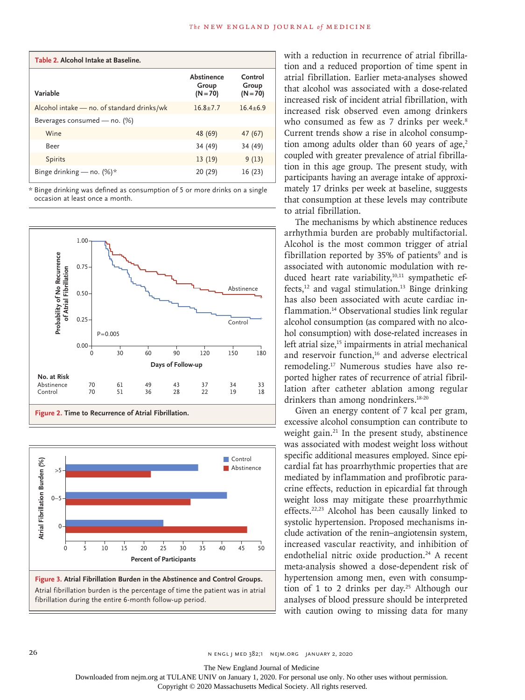| Table 2. Alcohol Intake at Baseline.       |                                   |                                |  |
|--------------------------------------------|-----------------------------------|--------------------------------|--|
| Variable                                   | Abstinence<br>Group<br>$(N = 70)$ | Control<br>Group<br>$(N = 70)$ |  |
| Alcohol intake - no. of standard drinks/wk | $16.8 + 7.7$                      | $16.4 + 6.9$                   |  |
| Beverages consumed - no. (%)               |                                   |                                |  |
| Wine                                       | 48 (69)                           | 47 (67)                        |  |
| Beer                                       | 34 (49)                           | 34 (49)                        |  |
| <b>Spirits</b>                             | 13(19)                            | 9(13)                          |  |
| Binge drinking - no. $(\%)^*$              | 20 (29)                           | 16(23)                         |  |

\* Binge drinking was defined as consumption of 5 or more drinks on a single occasion at least once a month.







with a reduction in recurrence of atrial fibrillation and a reduced proportion of time spent in atrial fibrillation. Earlier meta-analyses showed that alcohol was associated with a dose-related increased risk of incident atrial fibrillation, with increased risk observed even among drinkers who consumed as few as 7 drinks per week.<sup>8</sup> Current trends show a rise in alcohol consumption among adults older than 60 years of age, $2$ coupled with greater prevalence of atrial fibrillation in this age group. The present study, with participants having an average intake of approximately 17 drinks per week at baseline, suggests that consumption at these levels may contribute to atrial fibrillation.

The mechanisms by which abstinence reduces arrhythmia burden are probably multifactorial. Alcohol is the most common trigger of atrial fibrillation reported by  $35%$  of patients<sup>9</sup> and is associated with autonomic modulation with reduced heart rate variability, $10,11$  sympathetic effects, $12$  and vagal stimulation.<sup>13</sup> Binge drinking has also been associated with acute cardiac inflammation.14 Observational studies link regular alcohol consumption (as compared with no alcohol consumption) with dose-related increases in left atrial size,<sup>15</sup> impairments in atrial mechanical and reservoir function,<sup>16</sup> and adverse electrical remodeling.17 Numerous studies have also reported higher rates of recurrence of atrial fibrillation after catheter ablation among regular drinkers than among nondrinkers.<sup>18-20</sup>

Given an energy content of 7 kcal per gram, excessive alcohol consumption can contribute to weight gain.<sup>21</sup> In the present study, abstinence was associated with modest weight loss without specific additional measures employed. Since epicardial fat has proarrhythmic properties that are mediated by inflammation and profibrotic paracrine effects, reduction in epicardial fat through weight loss may mitigate these proarrhythmic effects.22,23 Alcohol has been causally linked to systolic hypertension. Proposed mechanisms include activation of the renin–angiotensin system, increased vascular reactivity, and inhibition of endothelial nitric oxide production.<sup>24</sup> A recent meta-analysis showed a dose-dependent risk of hypertension among men, even with consumption of 1 to 2 drinks per day.25 Although our analyses of blood pressure should be interpreted with caution owing to missing data for many

26 n engl j med 382;1 nejm.org January 2, 2020

The New England Journal of Medicine

Downloaded from nejm.org at TULANE UNIV on January 1, 2020. For personal use only. No other uses without permission.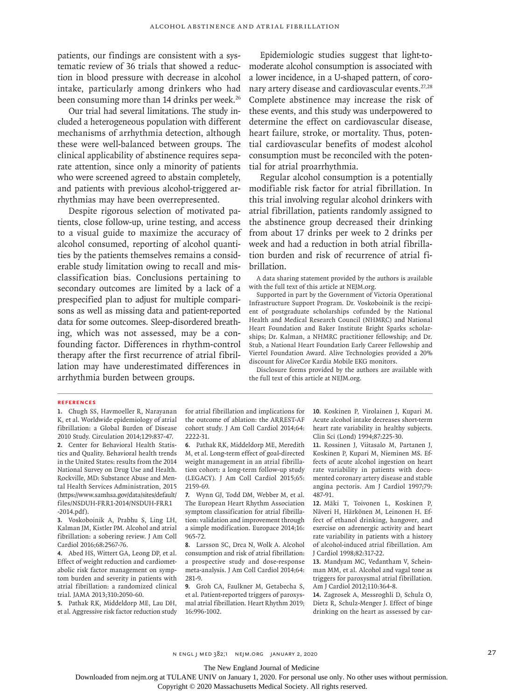patients, our findings are consistent with a systematic review of 36 trials that showed a reduction in blood pressure with decrease in alcohol intake, particularly among drinkers who had been consuming more than 14 drinks per week.<sup>26</sup>

Our trial had several limitations. The study included a heterogeneous population with different mechanisms of arrhythmia detection, although these were well-balanced between groups. The clinical applicability of abstinence requires separate attention, since only a minority of patients who were screened agreed to abstain completely, and patients with previous alcohol-triggered arrhythmias may have been overrepresented.

Despite rigorous selection of motivated patients, close follow-up, urine testing, and access to a visual guide to maximize the accuracy of alcohol consumed, reporting of alcohol quantities by the patients themselves remains a considerable study limitation owing to recall and misclassification bias. Conclusions pertaining to secondary outcomes are limited by a lack of a prespecified plan to adjust for multiple comparisons as well as missing data and patient-reported data for some outcomes. Sleep-disordered breathing, which was not assessed, may be a confounding factor. Differences in rhythm-control therapy after the first recurrence of atrial fibrillation may have underestimated differences in arrhythmia burden between groups.

Epidemiologic studies suggest that light-tomoderate alcohol consumption is associated with a lower incidence, in a U-shaped pattern, of coronary artery disease and cardiovascular events.<sup>27,28</sup> Complete abstinence may increase the risk of these events, and this study was underpowered to determine the effect on cardiovascular disease, heart failure, stroke, or mortality. Thus, potential cardiovascular benefits of modest alcohol consumption must be reconciled with the potential for atrial proarrhythmia.

Regular alcohol consumption is a potentially modifiable risk factor for atrial fibrillation. In this trial involving regular alcohol drinkers with atrial fibrillation, patients randomly assigned to the abstinence group decreased their drinking from about 17 drinks per week to 2 drinks per week and had a reduction in both atrial fibrillation burden and risk of recurrence of atrial fibrillation.

A data sharing statement provided by the authors is available with the full text of this article at NEJM.org.

Supported in part by the Government of Victoria Operational Infrastructure Support Program. Dr. Voskoboinik is the recipient of postgraduate scholarships cofunded by the National Health and Medical Research Council (NHMRC) and National Heart Foundation and Baker Institute Bright Sparks scholarships; Dr. Kalman, a NHMRC practitioner fellowship; and Dr. Stub, a National Heart Foundation Early Career Fellowship and Viertel Foundation Award. Alive Technologies provided a 20% discount for AliveCor Kardia Mobile EKG monitors.

Disclosure forms provided by the authors are available with the full text of this article at NEJM.org.

#### **References**

**1.** Chugh SS, Havmoeller R, Narayanan K, et al. Worldwide epidemiology of atrial fibrillation: a Global Burden of Disease 2010 Study. Circulation 2014;129:837-47. **2.** Center for Behavioral Health Statistics and Quality. Behavioral health trends in the United States: results from the 2014 National Survey on Drug Use and Health. Rockville, MD: Substance Abuse and Mental Health Services Administration, 2015 (https://www.samhsa.gov/data/sites/default/ files/NSDUH-FRR1-2014/NSDUH-FRR1 -2014.pdf).

**3.** Voskoboinik A, Prabhu S, Ling LH, Kalman JM, Kistler PM. Alcohol and atrial fibrillation: a sobering review. J Am Coll Cardiol 2016;68:2567-76.

**4.** Abed HS, Wittert GA, Leong DP, et al. Effect of weight reduction and cardiometabolic risk factor management on symptom burden and severity in patients with atrial fibrillation: a randomized clinical trial. JAMA 2013;310:2050-60.

**5.** Pathak RK, Middeldorp ME, Lau DH, et al. Aggressive risk factor reduction study

for atrial fibrillation and implications for the outcome of ablation: the ARREST-AF cohort study. J Am Coll Cardiol 2014;64: 2222-31.

**6.** Pathak RK, Middeldorp ME, Meredith M, et al. Long-term effect of goal-directed weight management in an atrial fibrillation cohort: a long-term follow-up study (LEGACY). J Am Coll Cardiol 2015;65: 2159-69.

**7.** Wynn GJ, Todd DM, Webber M, et al. The European Heart Rhythm Association symptom classification for atrial fibrillation: validation and improvement through a simple modification. Europace 2014;16: 965-72.

**8.** Larsson SC, Drca N, Wolk A. Alcohol consumption and risk of atrial fibrillation: a prospective study and dose-response meta-analysis. J Am Coll Cardiol 2014;64: 281-9.

**9.** Groh CA, Faulkner M, Getabecha S, et al. Patient-reported triggers of paroxysmal atrial fibrillation. Heart Rhythm 2019; 16:996-1002.

**10.** Koskinen P, Virolainen J, Kupari M. Acute alcohol intake decreases short-term heart rate variability in healthy subjects. Clin Sci (Lond) 1994;87:225-30.

**11.** Rossinen J, Viitasalo M, Partanen J, Koskinen P, Kupari M, Nieminen MS. Effects of acute alcohol ingestion on heart rate variability in patients with documented coronary artery disease and stable angina pectoris. Am J Cardiol 1997;79: 487-91.

**12.** Mäki T, Toivonen L, Koskinen P, Näveri H, Härkönen M, Leinonen H. Effect of ethanol drinking, hangover, and exercise on adrenergic activity and heart rate variability in patients with a history of alcohol-induced atrial fibrillation. Am J Cardiol 1998;82:317-22.

**13.** Mandyam MC, Vedantham V, Scheinman MM, et al. Alcohol and vagal tone as triggers for paroxysmal atrial fibrillation. Am J Cardiol 2012;110:364-8.

**14.** Zagrosek A, Messroghli D, Schulz O, Dietz R, Schulz-Menger J. Effect of binge drinking on the heart as assessed by car-

n engl j med 382;1 nejm.org January 2, 2020 27

The New England Journal of Medicine

Downloaded from nejm.org at TULANE UNIV on January 1, 2020. For personal use only. No other uses without permission.